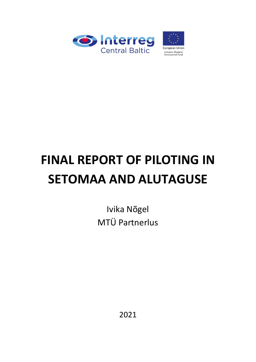

# **FINAL REPORT OF PILOTING IN SETOMAA AND ALUTAGUSE**

Ivika Nõgel MTÜ Partnerlus

2021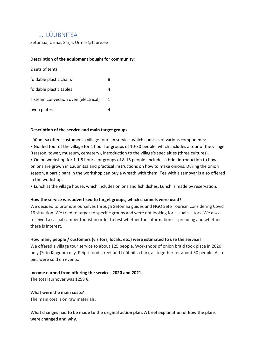# 1. LÜÜBNITSA

Setomaa, Urmas Sarja, Urmas@taure.ee

#### **Description of the equipment bought for community:**

| 2 sets of tents                      |   |
|--------------------------------------|---|
| foldable plastic chairs              | 8 |
| foldable plastic tables              |   |
| a steam convection oven (electrical) | 1 |
| oven plates                          |   |

#### **Description of the service and main target groups**

Lüübnitsa offers customers a village tourism service, which consists of various components: • Guided tour of the village for 1 hour for groups of 10-30 people, which includes a tour of the village (tsässon, tower, museum, cemetery), introduction to the village's specialties (three cultures). • Onion workshop for 1-1.5 hours for groups of 8-15 people. Includes a brief introduction to how onions are grown in Lüübnitsa and practical instructions on how to make onions. During the onion season, a participant in the workshop can buy a wreath with them. Tea with a samovar is also offered in the workshop.

• Lunch at the village house, which includes onions and fish dishes. Lunch is made by reservation.

#### **How the service was advertised to target groups, which channels were used?**

We decided to promote ourselves through Setomaa guides and NGO Seto Tourism considering Covid 19 situation. We tried to target to specific groups and were not looking for casual visitors. We also received a casual camper tourist in order to test whether the information is spreading and whether there is interest.

#### **How many people / customers (visitors, locals, etc.) were estimated to use the service?**

We offered a village tour service to about 125 people. Workshops of onion braid took place in 2020 only (Seto Kingdom day, Peipsi food street and Lüübnitsa fair), all together for about 50 people. Also pies were sold on events.

#### **Income earned from offering the services 2020 and 2021.**

The total turnover was 1258 €.

#### **What were the main costs?**

The main cost is on raw materials.

**What changes had to be made to the original action plan. A brief explanation of how the plans were changed and why.**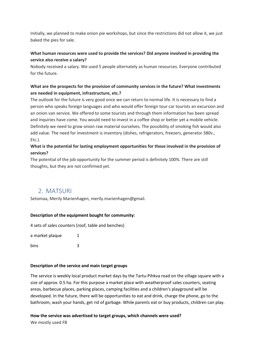Initially, we planned to make onion pie workshops, but since the restrictions did not allow it, we just baked the pies for sale.

# **What human resources were used to provide the services? Did anyone involved in providing the service also receive a salary?**

Nobody received a salary. We used 5 people alternately as human resources. Everyone contributed for the future.

# **What are the prospects for the provision of community services in the future? What investments are needed in equipment, infrastructure, etc.?**

The outlook for the future is very good once we can return to normal life. It is necessary to find a person who speaks foreign languages and who would offer foreign tour car tourists an excursion and an onion van service. We offered to some tourists and through them information has been spread and inquiries have come. You would need to invest in a coffee shop or better yet a mobile vehicle. Definitely we need to grow onion raw material ourselves. The possibility of smoking fish would also add value. The need for investment is inventory (dishes, refrigerators, freezers, generator 380v., Etc.).

# **What is the potential for lasting employment opportunities for those involved in the provision of services?**

The potential of the job opportunity for the summer period is definitely 100%. There are still thoughts, but they are not confirmed yet.

# 2. MATSURI

Setomaa, Merily Marienhagen, merily.marienhagen@gmail.

#### **Description of the equipment bought for community:**

4 sets of sales counters (roof, table and benches)

a market plaque 1 bins 3

#### **Description of the service and main target groups**

The service is weekly local product market days by the Tartu-Pihkva road on the village square with a size of approx. 0.5 ha. For this purpose a market place with weatherproof sales counters, seating areas, barbecue places, parking places, camping facilities and a children's playground will be developed. In the future, there will be opportunities to eat and drink, charge the phone, go to the bathroom, wash your hands, get rid of garbage. While parents eat or buy products, children can play.

#### **How the service was advertised to target groups, which channels were used?**

We mostly used FB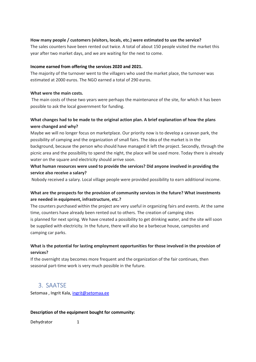#### **How many people / customers (visitors, locals, etc.) were estimated to use the service?**

The sales counters have been rented out twice. A total of about 150 people visited the market this year after two market days, and we are waiting for the next to come.

#### **Income earned from offering the services 2020 and 2021.**

The majority of the turnover went to the villagers who used the market place, the turnover was estimated at 2000 euros. The NGO earned a total of 290 euros.

#### **What were the main costs.**

The main costs of these two years were perhaps the maintenance of the site, for which it has been possible to ask the local government for funding.

# **What changes had to be made to the original action plan. A brief explanation of how the plans were changed and why?**

Maybe we will no longer focus on marketplace. Our priority now is to develop a caravan park, the possibility of camping and the organization of small fairs. The idea of the market is in the background, because the person who should have managed it left the project. Secondly, through the picnic area and the possibility to spend the night, the place will be used more. Today there is already water on the square and electricity should arrive soon.

# **What human resources were used to provide the services? Did anyone involved in providing the service also receive a salary?**

Nobody received a salary. Local village people were provided possibility to earn additional income.

# **What are the prospects for the provision of community services in the future? What investments are needed in equipment, infrastructure, etc.?**

The counters purchased within the project are very useful in organizing fairs and events. At the same time, counters have already been rented out to others. The creation of camping sites is planned for next spring. We have created a possibility to get drinking water, and the site will soon be supplied with electricity. In the future, there will also be a barbecue house, campsites and camping car parks.

# **What is the potential for lasting employment opportunities for those involved in the provision of services?**

If the overnight stay becomes more frequent and the organization of the fair continues, then seasonal part-time work is very much possible in the future.

# 3. SAATSE

Setomaa , Ingrit Kala, [ingrit@setomaa.ee](mailto:ingrit@setomaa.ee)

#### **Description of the equipment bought for community:**

Dehydrator 1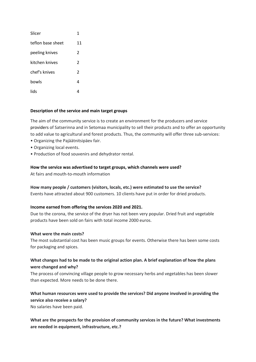| Slicer            | 1              |
|-------------------|----------------|
| teflon base sheet | 11             |
| peeling knives    | $\mathfrak{p}$ |
| kitchen knives    | $\mathfrak{p}$ |
| chef's knives     | $\mathfrak z$  |
| bowls             | 4              |
| lids              |                |

#### **Description of the service and main target groups**

The aim of the community service is to create an environment for the producers and service providers of Satserinna and in Setomaa municipality to sell their products and to offer an opportunity to add value to agricultural and forest products. Thus, the community will offer three sub-services:

- Organizing the Pajäätnitsipäev fair.
- Organizing local events.
- Production of food souvenirs and dehydrator rental.

#### **How the service was advertised to target groups, which channels were used?**

At fairs and mouth-to-mouth information

#### **How many people / customers (visitors, locals, etc.) were estimated to use the service?**

Events have attracted about 900 customers. 10 clients have put in order for dried products.

#### **Income earned from offering the services 2020 and 2021.**

Due to the corona, the service of the dryer has not been very popular. Dried fruit and vegetable products have been sold on fairs with total income 2000 euros.

#### **What were the main costs?**

The most substantial cost has been music groups for events. Otherwise there has been some costs for packaging and spices.

# **What changes had to be made to the original action plan. A brief explanation of how the plans were changed and why?**

The process of convincing village people to grow necessary herbs and vegetables has been slower than expected. More needs to be done there.

# **What human resources were used to provide the services? Did anyone involved in providing the service also receive a salary?**

No salaries have been paid.

# **What are the prospects for the provision of community services in the future? What investments are needed in equipment, infrastructure, etc.?**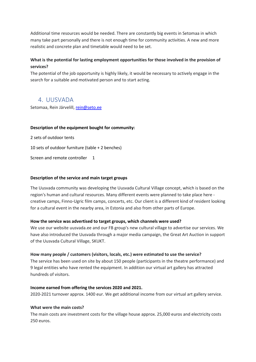Additional time resources would be needed. There are constantly big events in Setomaa in which many take part personally and there is not enough time for community activities. A new and more realistic and concrete plan and timetable would need to be set.

# **What is the potential for lasting employment opportunities for those involved in the provision of services?**

The potential of the job opportunity is highly likely, it would be necessary to actively engage in the search for a suitable and motivated person and to start acting.

# 4. UUSVADA

Setomaa, Rein Järvelill, [rein@seto.ee](mailto:rein@seto.ee)

#### **Description of the equipment bought for community:**

2 sets of outdoor tents 10 sets of outdoor furniture (table + 2 benches) Screen and remote controller 1

#### **Description of the service and main target groups**

The Uusvada community was developing the Uusvada Cultural Village concept, which is based on the region's human and cultural resources. Many different events were planned to take place here creative camps, Finno-Ugric film camps, concerts, etc. Our client is a different kind of resident looking for a cultural event in the nearby area, in Estonia and also from other parts of Europe.

#### **How the service was advertised to target groups, which channels were used?**

We use our website uusvada.ee and our FB group's new cultural village to advertise our services. We have also introduced the Uusvada through a major media campaign, the Great Art Auction in support of the Uusvada Cultural Village, SKUKT.

#### **How many people / customers (visitors, locals, etc.) were estimated to use the service?**

The service has been used on site by about 150 people (participants in the theatre performance) and 9 legal entities who have rented the equipment. In addition our virtual art gallery has attracted hundreds of visitors.

#### **Income earned from offering the services 2020 and 2021.**

2020-2021 turnover approx. 1400 eur. We get additional income from our virtual art gallery service.

#### **What were the main costs?**

The main costs are investment costs for the village house approx. 25,000 euros and electricity costs 250 euros.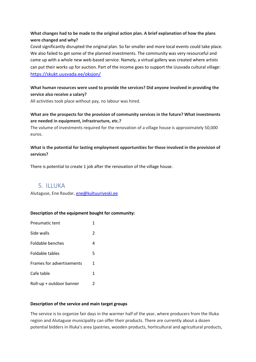# **What changes had to be made to the original action plan. A brief explanation of how the plans were changed and why?**

Covid significantly disrupted the original plan. So far smaller and more local events could take place. We also failed to get some of the planned investments. The community was very resourceful and came up with a whole new web-based service. Namely, a virtual gallery was created where artists can put their works up for auction. Part of the income goes to support the Uusvada cultural village: <https://skukt.uusvada.ee/oksjon/>

# **What human resources were used to provide the services? Did anyone involved in providing the service also receive a salary?**

All activities took place without pay, no labour was hired.

# **What are the prospects for the provision of community services in the future? What investments are needed in equipment, infrastructure, etc.?**

The volume of investments required for the renovation of a village house is approximately 50,000 euros.

# **What is the potential for lasting employment opportunities for those involved in the provision of services?**

There is potential to create 1 job after the renovation of the village house.

# 5. ILLUKA

Alutaguse, Ene Raudar[, ene@kultuuriveski.ee](mailto:ene@kultuuriveski.ee)

#### **Description of the equipment bought for community:**

| <b>Pneumatic tent</b>     | 1              |
|---------------------------|----------------|
| Side walls                | $\overline{2}$ |
| <b>Foldable benches</b>   | 4              |
| Foldable tables           | 5              |
| Frames for advertisements | 1              |
| Cafe table                | 1              |
| Roll-up + outdoor banner  | 2              |

#### **Description of the service and main target groups**

The service is to organize fair days in the warmer half of the year, where producers from the Illuka region and Alutaguse municipality can offer their products. There are currently about a dozen potential bidders in Illuka's area (pastries, wooden products, horticultural and agricultural products,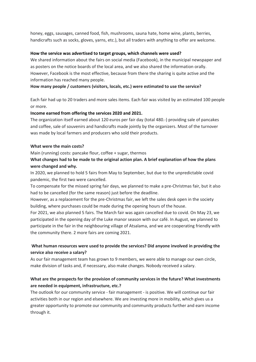honey, eggs, sausages, canned food, fish, mushrooms, sauna hate, home wine, plants, berries, handicrafts such as socks, gloves, yarns, etc.), but all traders with anything to offer are welcome.

#### **How the service was advertised to target groups, which channels were used?**

We shared information about the fairs on social media (Facebook), in the municipal newspaper and as posters on the notice boards of the local area, and we also shared the information orally. However, Facebook is the most effective, because from there the sharing is quite active and the information has reached many people.

#### **How many people / customers (visitors, locals, etc.) were estimated to use the service?**

Each fair had up to 20 traders and more sales items. Each fair was visited by an estimated 100 people or more.

#### **Income earned from offering the services 2020 and 2021.**

The organization itself earned about 120 euros per fair day (total 480.-) providing sale of pancakes and coffee, sale of souvenirs and handicrafts made jointly by the organizers. Most of the turnover was made by local farmers and producers who sold their products.

#### **What were the main costs?**

Main (running) costs: pancake flour, coffee + sugar, thermos

# **What changes had to be made to the original action plan. A brief explanation of how the plans were changed and why.**

In 2020, we planned to hold 5 fairs from May to September, but due to the unpredictable covid pandemic, the first two were cancelled.

To compensate for the missed spring fair days, we planned to make a pre-Christmas fair, but it also had to be cancelled (for the same reason) just before the deadline.

However, as a replacement for the pre-Christmas fair, we left the sales desk open in the society building, where purchases could be made during the opening hours of the house.

For 2021, we also planned 5 fairs. The March fair was again cancelled due to covid. On May 23, we participated in the opening day of the Luke manor season with our café. In August, we planned to participate in the fair in the neighbouring village of Atsalama, and we are cooperating friendly with the community there. 2 more fairs are coming 2021.

# **What human resources were used to provide the services? Did anyone involved in providing the service also receive a salary?**

As our fair management team has grown to 9 members, we were able to manage our own circle, make division of tasks and, if necessary, also make changes. Nobody received a salary.

### **What are the prospects for the provision of community services in the future? What investments are needed in equipment, infrastructure, etc.?**

The outlook for our community service - fair management - is positive. We will continue our fair activities both in our region and elsewhere. We are investing more in mobility, which gives us a greater opportunity to promote our community and community products further and earn income through it.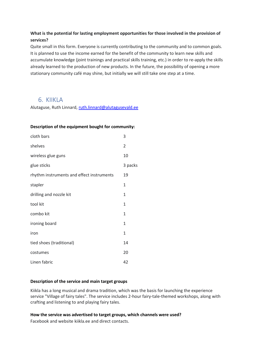# **What is the potential for lasting employment opportunities for those involved in the provision of services?**

Quite small in this form. Everyone is currently contributing to the community and to common goals. It is planned to use the income earned for the benefit of the community to learn new skills and accumulate knowledge (joint trainings and practical skills training, etc.) in order to re-apply the skills already learned to the production of new products. In the future, the possibility of opening a more stationary community café may shine, but initially we will still take one step at a time.

# 6. KIIKLA

Alutaguse, Ruth Linnard, [ruth.linnard@alutagusevald.ee](mailto:ruth.linnard@alutagusevald.ee)

#### **Description of the equipment bought for community:**

| cloth bars                                | 3            |
|-------------------------------------------|--------------|
| shelves                                   | 2            |
| wireless glue guns                        | 10           |
| glue sticks                               | 3 packs      |
| rhythm instruments and effect instruments | 19           |
| stapler                                   | $\mathbf{1}$ |
| drilling and nozzle kit                   | $\mathbf{1}$ |
| tool kit                                  | $\mathbf{1}$ |
| combo kit                                 | $\mathbf{1}$ |
| ironing board                             | $\mathbf{1}$ |
| iron                                      | $\mathbf{1}$ |
| tied shoes (traditional)                  | 14           |
| costumes                                  | 20           |
| Linen fabric                              | 42           |

#### **Description of the service and main target groups**

Kiikla has a long musical and drama tradition, which was the basis for launching the experience service "Village of fairy tales". The service includes 2-hour fairy-tale-themed workshops, along with crafting and listening to and playing fairy tales.

#### **How the service was advertised to target groups, which channels were used?**

Facebook and website kiikla.ee and direct contacts.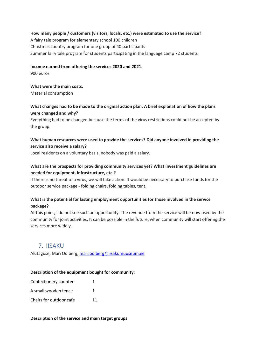#### **How many people / customers (visitors, locals, etc.) were estimated to use the service?**

A fairy tale program for elementary school 100 children Christmas country program for one group of 40 participants Summer fairy tale program for students participating in the language camp 72 students

#### **Income earned from offering the services 2020 and 2021.**

900 euros

#### **What were the main costs.**

Material consumption

#### **What changes had to be made to the original action plan. A brief explanation of how the plans were changed and why?**

Everything had to be changed because the terms of the virus restrictions could not be accepted by the group.

# **What human resources were used to provide the services? Did anyone involved in providing the service also receive a salary?**

Local residents on a voluntary basis, nobody was paid a salary.

## **What are the prospects for providing community services yet? What investment guidelines are needed for equipment, infrastructure, etc.?**

If there is no threat of a virus, we will take action. It would be necessary to purchase funds for the outdoor service package - folding chairs, folding tables, tent.

# **What is the potential for lasting employment opportunities for those involved in the service package?**

At this point, I do not see such an opportunity. The revenue from the service will be now used by the community for joint activities. It can be possible in the future, when community will start offering the services more widely.

# 7. IISAKU

Alutaguse, Mari Oolberg, [mari.oolberg@iisakumuuseum.ee](mailto:mari.oolberg@iisakumuuseum.ee)

#### **Description of the equipment bought for community:**

| Confectionery counter   |    |
|-------------------------|----|
| A small wooden fence    |    |
| Chairs for outdoor cafe | 11 |

**Description of the service and main target groups**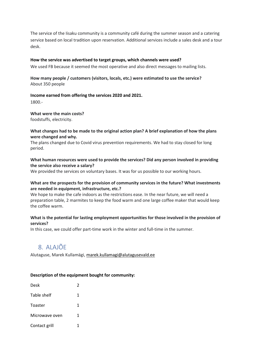The service of the Iisaku community is a community café during the summer season and a catering service based on local tradition upon reservation. Additional services include a sales desk and a tour desk.

#### **How the service was advertised to target groups, which channels were used?**

We used FB because it seemed the most operative and also direct messages to mailing lists.

#### **How many people / customers (visitors, locals, etc.) were estimated to use the service?** About 350 people

#### **Income earned from offering the services 2020 and 2021.**

1800.-

#### **What were the main costs?**

foodstuffs, electricity.

#### **What changes had to be made to the original action plan? A brief explanation of how the plans were changed and why.**

The plans changed due to Covid virus prevention requirements. We had to stay closed for long period.

#### **What human resources were used to provide the services? Did any person involved in providing the service also receive a salary?**

We provided the services on voluntary bases. It was for us possible to our working hours.

#### **What are the prospects for the provision of community services in the future? What investments are needed in equipment, infrastructure, etc.?**

We hope to make the cafe indoors as the restrictions ease. In the near future, we will need a preparation table, 2 marmites to keep the food warm and one large coffee maker that would keep the coffee warm.

#### **What is the potential for lasting employment opportunities for those involved in the provision of services?**

In this case, we could offer part-time work in the winter and full-time in the summer.

# 8. ALAJÕE

Alutaguse, Marek Kullamägi[, marek.kullamagi@alutagusevald.ee](mailto:marek.kullamagi@alutagusevald.ee)

#### **Description of the equipment bought for community:**

| Desk           | $\mathfrak z$ |
|----------------|---------------|
| Table shelf    | 1             |
| Toaster        | 1             |
| Microwave oven | 1             |
| Contact grill  | 1             |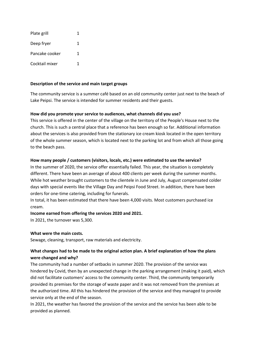| Plate grill    |   |
|----------------|---|
| Deep fryer     | 1 |
| Pancake cooker | 1 |
| Cocktail mixer |   |

#### **Description of the service and main target groups**

The community service is a summer café based on an old community center just next to the beach of Lake Peipsi. The service is intended for summer residents and their guests.

#### **How did you promote your service to audiences, what channels did you use?**

This service is offered in the center of the village on the territory of the People's House next to the church. This is such a central place that a reference has been enough so far. Additional information about the services is also provided from the stationary ice cream kiosk located in the open territory of the whole summer season, which is located next to the parking lot and from which all those going to the beach pass.

#### **How many people / customers (visitors, locals, etc.) were estimated to use the service?**

In the summer of 2020, the service offer essentially failed. This year, the situation is completely different. There have been an average of about 400 clients per week during the summer months. While hot weather brought customers to the clientele in June and July, August compensated colder days with special events like the Village Day and Peipsi Food Street. In addition, there have been orders for one-time catering, including for funerals.

In total, it has been estimated that there have been 4,000 visits. Most customers purchased ice cream.

#### **Income earned from offering the services 2020 and 2021.**

In 2021, the turnover was 5,300.

#### **What were the main costs.**

Sewage, cleaning, transport, raw materials and electricity.

# **What changes had to be made to the original action plan. A brief explanation of how the plans were changed and why?**

The community had a number of setbacks in summer 2020. The provision of the service was hindered by Covid, then by an unexpected change in the parking arrangement (making it paid), which did not facilitate customers' access to the community center. Third, the community temporarily provided its premises for the storage of waste paper and it was not removed from the premises at the authorized time. All this has hindered the provision of the service and they managed to provide service only at the end of the season.

In 2021, the weather has favored the provision of the service and the service has been able to be provided as planned.